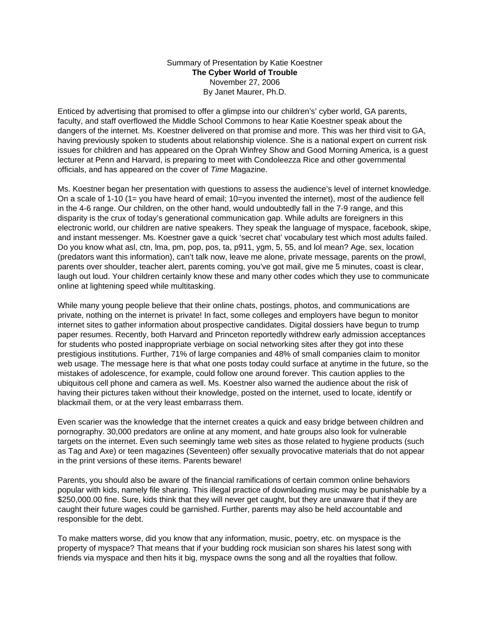Summary of Presentation by Katie Koestner **The Cyber World of Trouble**  November 27, 2006 By Janet Maurer, Ph.D.

Enticed by advertising that promised to offer a glimpse into our children's' cyber world, GA parents, faculty, and staff overflowed the Middle School Commons to hear Katie Koestner speak about the dangers of the internet. Ms. Koestner delivered on that promise and more. This was her third visit to GA, having previously spoken to students about relationship violence. She is a national expert on current risk issues for children and has appeared on the Oprah Winfrey Show and Good Morning America, is a guest lecturer at Penn and Harvard, is preparing to meet with Condoleezza Rice and other governmental officials, and has appeared on the cover of *Time* Magazine.

Ms. Koestner began her presentation with questions to assess the audience's level of internet knowledge. On a scale of 1-10 (1= you have heard of email; 10=you invented the internet), most of the audience fell in the 4-6 range. Our children, on the other hand, would undoubtedly fall in the 7-9 range, and this disparity is the crux of today's generational communication gap. While adults are foreigners in this electronic world, our children are native speakers. They speak the language of myspace, facebook, skipe, and instant messenger. Ms. Koestner gave a quick 'secret chat' vocabulary test which most adults failed. Do you know what asl, ctn, lma, pm, pop, pos, ta, p911, ygm, 5, 55, and lol mean? Age, sex, location (predators want this information), can't talk now, leave me alone, private message, parents on the prowl, parents over shoulder, teacher alert, parents coming, you've got mail, give me 5 minutes, coast is clear, laugh out loud. Your children certainly know these and many other codes which they use to communicate online at lightening speed while multitasking.

While many young people believe that their online chats, postings, photos, and communications are private, nothing on the internet is private! In fact, some colleges and employers have begun to monitor internet sites to gather information about prospective candidates. Digital dossiers have begun to trump paper resumes. Recently, both Harvard and Princeton reportedly withdrew early admission acceptances for students who posted inappropriate verbiage on social networking sites after they got into these prestigious institutions. Further, 71% of large companies and 48% of small companies claim to monitor web usage. The message here is that what one posts today could surface at anytime in the future, so the mistakes of adolescence, for example, could follow one around forever. This caution applies to the ubiquitous cell phone and camera as well. Ms. Koestner also warned the audience about the risk of having their pictures taken without their knowledge, posted on the internet, used to locate, identify or blackmail them, or at the very least embarrass them.

Even scarier was the knowledge that the internet creates a quick and easy bridge between children and pornography. 30,000 predators are online at any moment, and hate groups also look for vulnerable targets on the internet. Even such seemingly tame web sites as those related to hygiene products (such as Tag and Axe) or teen magazines (Seventeen) offer sexually provocative materials that do not appear in the print versions of these items. Parents beware!

Parents, you should also be aware of the financial ramifications of certain common online behaviors popular with kids, namely file sharing. This illegal practice of downloading music may be punishable by a \$250,000.00 fine. Sure, kids think that they will never get caught, but they are unaware that if they are caught their future wages could be garnished. Further, parents may also be held accountable and responsible for the debt.

To make matters worse, did you know that any information, music, poetry, etc. on myspace is the property of myspace? That means that if your budding rock musician son shares his latest song with friends via myspace and then hits it big, myspace owns the song and all the royalties that follow.